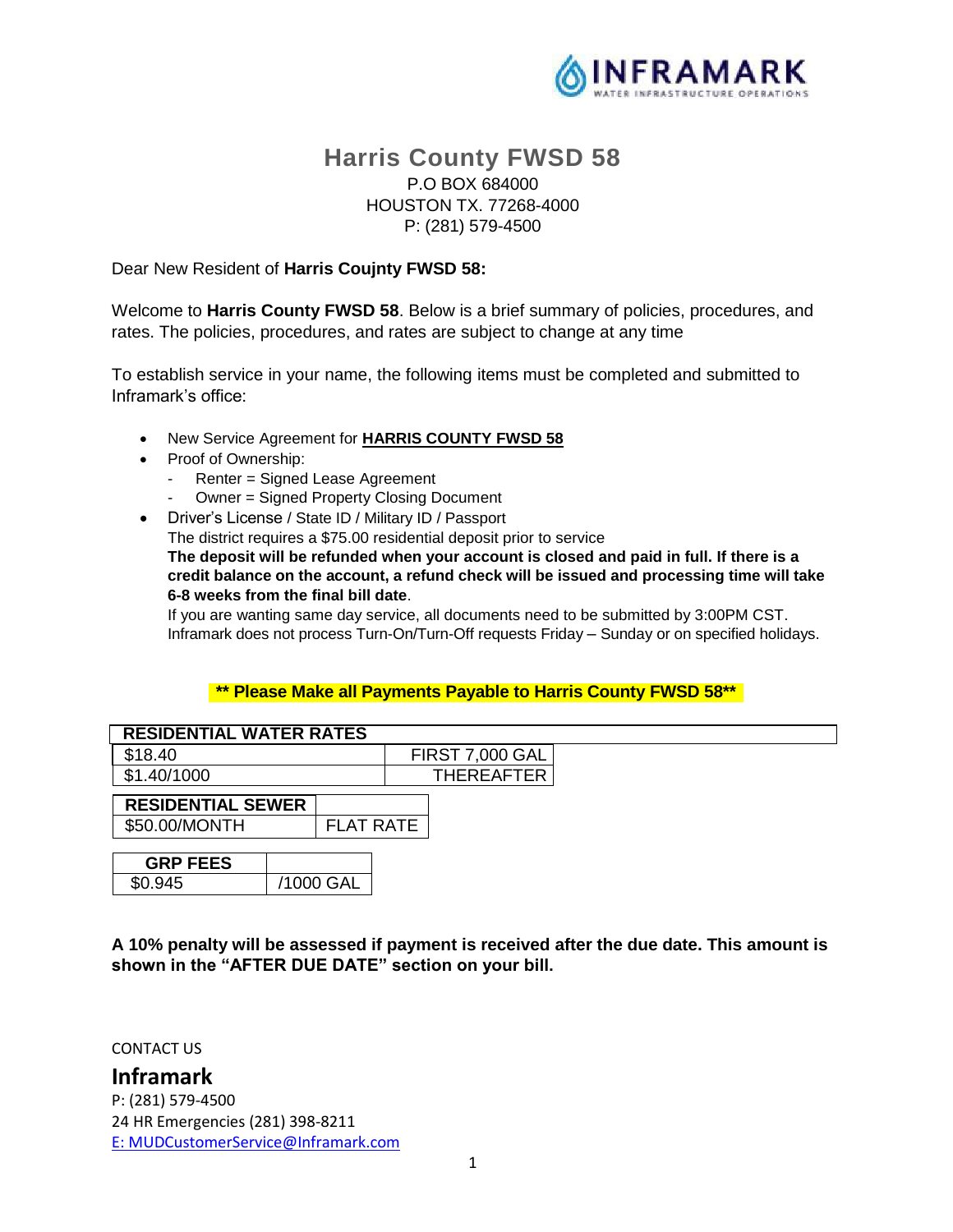

# **Harris County FWSD 58** P.O BOX 684000 HOUSTON TX. 77268-4000 P: (281) 579-4500

#### Dear New Resident of **Harris Coujnty FWSD 58:**

Welcome to **Harris County FWSD 58**. Below is a brief summary of policies, procedures, and rates. The policies, procedures, and rates are subject to change at any time

To establish service in your name, the following items must be completed and submitted to Inframark's office:

- New Service Agreement for **HARRIS COUNTY FWSD 58**
- Proof of Ownership:
	- Renter = Signed Lease Agreement
	- Owner = Signed Property Closing Document
- Driver's License / State ID / Military ID / Passport

The district requires a \$75.00 residential deposit prior to service

**The deposit will be refunded when your account is closed and paid in full. If there is a credit balance on the account, a refund check will be issued and processing time will take 6-8 weeks from the final bill date**.

If you are wanting same day service, all documents need to be submitted by 3:00PM CST. Inframark does not process Turn-On/Turn-Off requests Friday – Sunday or on specified holidays.

#### **\*\* Please Make all Payments Payable to Harris County FWSD 58\*\***

| <b>RESIDENTIAL WATER RATES</b>            |  |                  |  |                        |  |  |
|-------------------------------------------|--|------------------|--|------------------------|--|--|
| \$18.40                                   |  |                  |  | <b>FIRST 7,000 GAL</b> |  |  |
| \$1.40/1000                               |  |                  |  | <b>THEREAFTER</b>      |  |  |
| <b>RESIDENTIAL SEWER</b><br>\$50.00/MONTH |  | <b>FLAT RATE</b> |  |                        |  |  |
| <b>GRP FEES</b>                           |  |                  |  |                        |  |  |
| \$0.945                                   |  | /1000 GAL        |  |                        |  |  |

**A 10% penalty will be assessed if payment is received after the due date. This amount is shown in the "AFTER DUE DATE" section on your bill.**

CONTACT US

**Inframark** P: (281) 579-4500 24 HR Emergencies (281) 398-8211 [E:](ftp://E:_MUDCustomerService@inframark.com/) MUDCustomerService@Inframark.com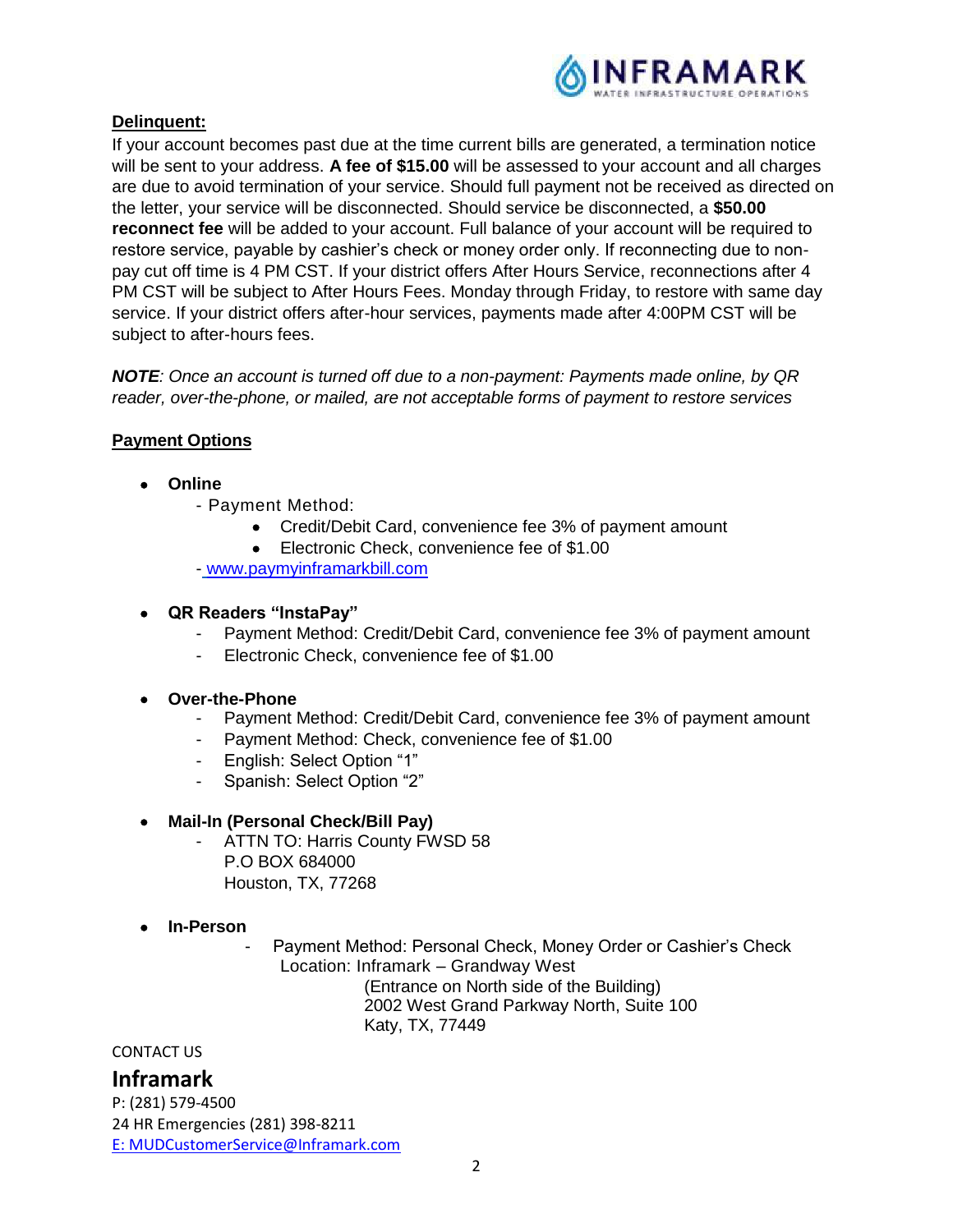

## **Delinquent:**

If your account becomes past due at the time current bills are generated, a termination notice will be sent to your address. **A fee of \$15.00** will be assessed to your account and all charges are due to avoid termination of your service. Should full payment not be received as directed on the letter, your service will be disconnected. Should service be disconnected, a **\$50.00 reconnect fee** will be added to your account. Full balance of your account will be required to restore service, payable by cashier's check or money order only. If reconnecting due to nonpay cut off time is 4 PM CST. If your district offers After Hours Service, reconnections after 4 PM CST will be subject to After Hours Fees. Monday through Friday, to restore with same day service. If your district offers after-hour services, payments made after 4:00PM CST will be subject to after-hours fees.

*NOTE: Once an account is turned off due to a non-payment: Payments made online, by QR reader, over-the-phone, or mailed, are not acceptable forms of payment to restore services*

## **Payment Options**

- **Online**
	- Payment Method:
		- Credit/Debit Card, convenience fee 3% of payment amount
		- Electronic Check, convenience fee of \$1.00

- [www.paymyinframarkbill.com](http://www.paymyinframarkbill.com/)

#### **QR Readers "InstaPay"**

- Payment Method: Credit/Debit Card, convenience fee 3% of payment amount
- Electronic Check, convenience fee of \$1.00

## **Over-the-Phone**

- Payment Method: Credit/Debit Card, convenience fee 3% of payment amount
- Payment Method: Check, convenience fee of \$1.00
- English: Select Option "1"
- Spanish: Select Option "2"

## **Mail-In (Personal Check/Bill Pay)**

- ATTN TO: Harris County FWSD 58 P.O BOX 684000 Houston, TX, 77268
- **In-Person**
- Payment Method: Personal Check, Money Order or Cashier's Check Location: Inframark – Grandway West (Entrance on North side of the Building) 2002 West Grand Parkway North, Suite 100 Katy, TX, 77449

CONTACT US

# **Inframark**

P: (281) 579-4500 24 HR Emergencies (281) 398-8211 [E:](ftp://E:_MUDCustomerService@inframark.com/) MUDCustomerService@Inframark.com